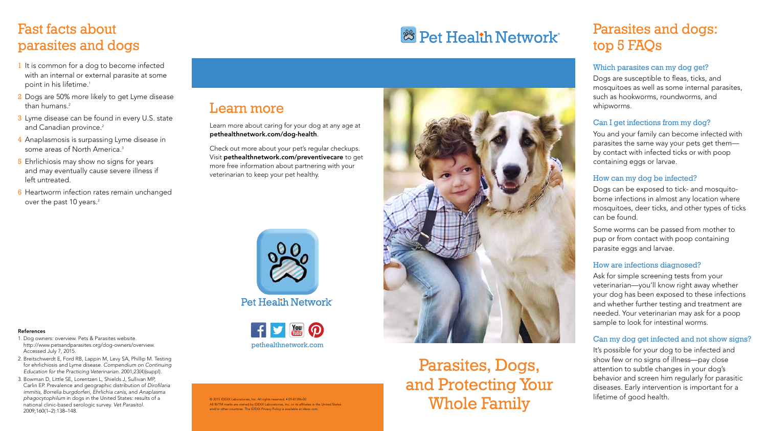## Parasites, Dogs, and Protecting Your Whole Family

### Learn more

Learn more about caring for your dog at any age at pethealthnetwork.com/dog-health.

Check out more about your pet's regular checkups. Visit pethealthnetwork.com/preventivecare to get more free information about partnering with your veterinarian to keep your pet healthy.



Pet Health Network<sup>®</sup>



© 2015 IDEXX Laboratories, Inc. All rights reserved. • 09-81396-00 All ®/TM marks are owned by IDEXX Laboratories, Inc. or its affiliates in the United States and/or other countries. The IDEXX Privacy Policy is available at idexx.com.

# **& Pet Health Network**\*

### Parasites and dogs: top 5 FAQs

### Which parasites can my dog get?

Dogs are susceptible to fleas, ticks, and mosquitoes as well as some internal parasites, such as hookworms, roundworms, and whipworms.

### Can I get infections from my dog?

You and your family can become infected with parasites the same way your pets get them by contact with infected ticks or with poop containing eggs or larvae.

### How can my dog be infected?

Dogs can be exposed to tick- and mosquitoborne infections in almost any location where mosquitoes, deer ticks, and other types of ticks can be found.

Some worms can be passed from mother to pup or from contact with poop containing parasite eggs and larvae.

#### How are infections diagnosed?

Ask for simple screening tests from your veterinarian—you'll know right away whether your dog has been exposed to these infections and whether further testing and treatment are needed. Your veterinarian may ask for a poop sample to look for intestinal worms.

#### Can my dog get infected and not show signs?

It's possible for your dog to be infected and show few or no signs of illness—pay close attention to subtle changes in your dog's behavior and screen him regularly for parasitic diseases. Early intervention is important for a lifetime of good health.

### Fast facts about parasites and dogs

- 1 It is common for a dog to become infected with an internal or external parasite at some point in his lifetime.<sup>1</sup>
- 2 Dogs are 50% more likely to get Lyme disease than humans.<sup>2</sup>
- 3 Lyme disease can be found in every U.S. state and Canadian province.<sup>2</sup>
- 4 Anaplasmosis is surpassing Lyme disease in some areas of North America<sup>3</sup>
- **5** Ehrlichiosis may show no signs for years and may eventually cause severe illness if left untreated.
- 6 Heartworm infection rates remain unchanged over the past 10 years.<sup>3</sup>

References 1. Dog owners: overview. Pets & Parasites website.

- http://www.petsandparasites.org/dog-owners/overview. Accessed July 7, 2015.
- 2. Breitschwerdt E, Ford RB, Lappin M, Levy SA, Phillip M. Testing for ehrlichiosis and Lyme disease. *Compendium on Continuing Education for the Practicing Veterinarian.* 2001;23(4)(suppl).
- 3. Bowman D, Little SE, Lorentzen L, Shields J, Sullivan MP, Carlin EP. Prevalence and geographic distribution of Dirofilaria *immitis,* Borrelia burgdorferi, Ehrlichia canis, and Anaplasma phagocytophilum in dogs in the United States: results of a national clinic-based serologic survey. Vet Parasitol. 2009;160(1–2):138–148.